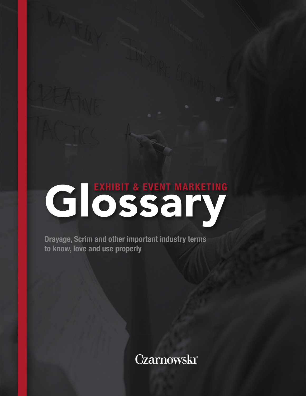# GLOSS SCHL

Drayage, Scrim and other important industry terms to know, love and use properly

Czarnowski<sup>®</sup>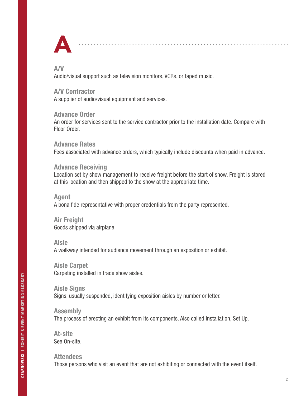

#### A/V

Audio/visual support such as television monitors, VCRs, or taped music.

### A/V Contractor

A supplier of audio/visual equipment and services.

#### Advance Order

An order for services sent to the service contractor prior to the installation date. Compare with Floor Order.

#### Advance Rates

Fees associated with advance orders, which typically include discounts when paid in advance.

#### Advance Receiving

Location set by show management to receive freight before the start of show. Freight is stored at this location and then shipped to the show at the appropriate time.

#### Agent

A bona fide representative with proper credentials from the party represented.

Air Freight Goods shipped via airplane.

#### Aisle

A walkway intended for audience movement through an exposition or exhibit.

Aisle Carpet Carpeting installed in trade show aisles.

Aisle Signs Signs, usually suspended, identifying exposition aisles by number or letter.

Assembly The process of erecting an exhibit from its components. Also called Installation, Set Up.

At-site See On-site.

Attendees Those persons who visit an event that are not exhibiting or connected with the event itself.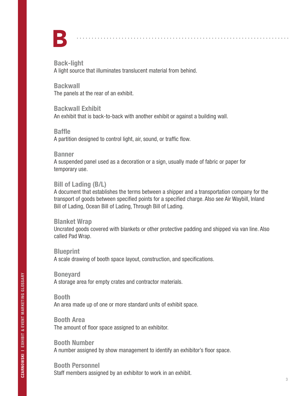

Back-light A light source that illuminates translucent material from behind.

Backwall The panels at the rear of an exhibit.

Backwall Exhibit

An exhibit that is back-to-back with another exhibit or against a building wall.

#### Baffle

A partition designed to control light, air, sound, or traffic flow.

#### Banner

A suspended panel used as a decoration or a sign, usually made of fabric or paper for temporary use.

# Bill of Lading (B/L)

A document that establishes the terms between a shipper and a transportation company for the transport of goods between specified points for a specified charge. Also see Air Waybill, Inland Bill of Lading, Ocean Bill of Lading, Through Bill of Lading.

#### Blanket Wrap

Uncrated goods covered with blankets or other protective padding and shipped via van line. Also called Pad Wrap.

**Blueprint** A scale drawing of booth space layout, construction, and specifications.

Boneyard A storage area for empty crates and contractor materials.

# Booth

An area made up of one or more standard units of exhibit space.

Booth Area The amount of floor space assigned to an exhibitor.

Booth Number A number assigned by show management to identify an exhibitor's floor space.

# Booth Personnel

Staff members assigned by an exhibitor to work in an exhibit.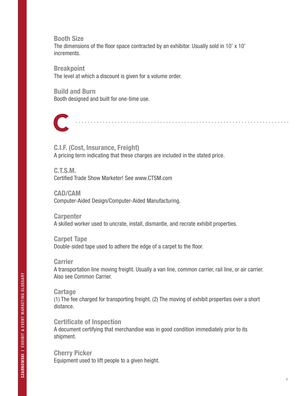Booth Size The dimensions of the floor space contracted by an exhibitor. Usually sold in 10' x 10' increments.

**Breakpoint** The level at which a discount is given for a volume order.

Build and Burn Booth designed and built for one-time use.



C.I.F. (Cost, Insurance, Freight) A pricing term indicating that these charges are included in the stated price.

C.T.S.M. Certified Trade Show Marketer! See www.CTSM.com

CAD/CAM Computer-Aided Design/Computer-Aided Manufacturing.

**Carpenter** A skilled worker used to uncrate, install, dismantle, and recrate exhibit properties.

Carpet Tape Double-sided tape used to adhere the edge of a carpet to the floor.

Carrier

A transportation line moving freight. Usually a van line, common carrier, rail line, or air carrier. Also see Common Carrier.

**Cartage** 

(1) The fee charged for transporting freight. (2) The moving of exhibit properties over a short distance.

Certificate of Inspection A document certifying that merchandise was in good condition immediately prior to its shipment.

Cherry Picker Equipment used to lift people to a given height.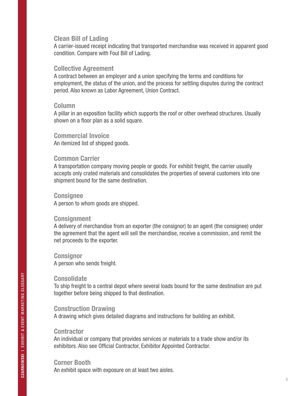#### Clean Bill of Lading

A carrier-issued receipt indicating that transported merchandise was received in apparent good condition. Compare with Foul Bill of Lading.

#### Collective Agreement

A contract between an employer and a union specifying the terms and conditions for employment, the status of the union, and the process for settling disputes during the contract period. Also known as Labor Agreement, Union Contract.

#### Column

A pillar in an exposition facility which supports the roof or other overhead structures. Usually shown on a floor plan as a solid square.

#### Commercial Invoice

An itemized list of shipped goods.

#### Common Carrier

A transportation company moving people or goods. For exhibit freight, the carrier usually accepts only crated materials and consolidates the properties of several customers into one shipment bound for the same destination.

#### **Consignee**

A person to whom goods are shipped.

#### **Consignment**

A delivery of merchandise from an exporter (the consignor) to an agent (the consignee) under the agreement that the agent will sell the merchandise, receive a commission, and remit the net proceeds to the exporter.

# **Consignor**

A person who sends freight.

#### **Consolidate**

To ship freight to a central depot where several loads bound for the same destination are put together before being shipped to that destination.

#### Construction Drawing

A drawing which gives detailed diagrams and instructions for building an exhibit.

#### **Contractor**

An individual or company that provides services or materials to a trade show and/or its exhibitors. Also see Official Contractor, Exhibitor Appointed Contractor.

#### Corner Booth

An exhibit space with exposure on at least two aisles.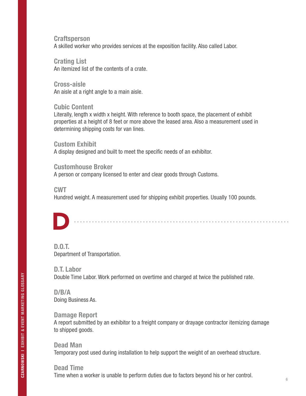**Craftsperson** A skilled worker who provides services at the exposition facility. Also called Labor.

Crating List An itemized list of the contents of a crate.

Cross-aisle An aisle at a right angle to a main aisle.

Cubic Content Literally, length x width x height. With reference to booth space, the placement of exhibit properties at a height of 8 feet or more above the leased area. Also a measurement used in determining shipping costs for van lines.

Custom Exhibit A display designed and built to meet the specific needs of an exhibitor.

Customhouse Broker A person or company licensed to enter and clear goods through Customs.

CWT

Hundred weight. A measurement used for shipping exhibit properties. Usually 100 pounds.



D.O.T. Department of Transportation.

D.T. Labor Double Time Labor. Work performed on overtime and charged at twice the published rate.

D/B/A Doing Business As.

Damage Report A report submitted by an exhibitor to a freight company or drayage contractor itemizing damage to shipped goods.

Dead Man Temporary post used during installation to help support the weight of an overhead structure.

Dead Time Time when a worker is unable to perform duties due to factors beyond his or her control.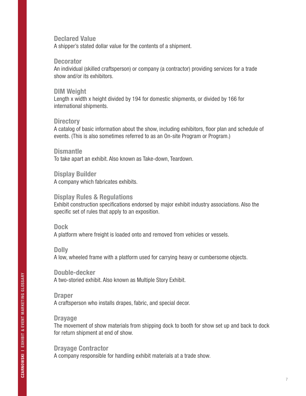#### Declared Value

A shipper's stated dollar value for the contents of a shipment.

#### **Decorator**

An individual (skilled craftsperson) or company (a contractor) providing services for a trade show and/or its exhibitors.

#### DIM Weight

Length x width x height divided by 194 for domestic shipments, or divided by 166 for international shipments.

#### **Directory**

A catalog of basic information about the show, including exhibitors, floor plan and schedule of events. (This is also sometimes referred to as an On-site Program or Program.)

#### **Dismantle**

To take apart an exhibit. Also known as Take-down, Teardown.

#### Display Builder A company which fabricates exhibits.

#### Display Rules & Regulations

Exhibit construction specifications endorsed by major exhibit industry associations. Also the specific set of rules that apply to an exposition.

#### Dock

A platform where freight is loaded onto and removed from vehicles or vessels.

#### Dolly

A low, wheeled frame with a platform used for carrying heavy or cumbersome objects.

# Double-decker

A two-storied exhibit. Also known as Multiple Story Exhibit.

#### Draper

A craftsperson who installs drapes, fabric, and special decor.

#### Drayage

The movement of show materials from shipping dock to booth for show set up and back to dock for return shipment at end of show.

#### Drayage Contractor

A company responsible for handling exhibit materials at a trade show.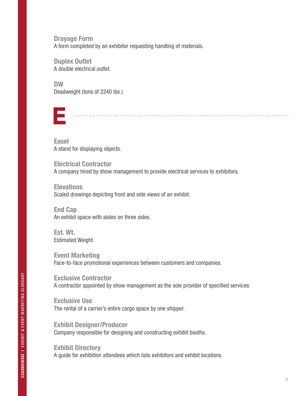Drayage Form A form completed by an exhibitor requesting handling of materials.

Duplex Outlet A double electrical outlet.

DW Deadweight (tons of 2240 lbs.)



Easel A stand for displaying objects.

Electrical Contractor A company hired by show management to provide electrical services to exhibitors.

**Elevations** Scaled drawings depicting front and side views of an exhibit.

End Cap An exhibit space with aisles on three sides.

Est. Wt. Estimated Weight.

Event Marketing Face-to-face promotional experiences between customers and companies.

Exclusive Contractor A contractor appointed by show management as the sole provider of specified services.

Exclusive Use The rental of a carrier's entire cargo space by one shipper.

Exhibit Designer/Producer Company responsible for designing and constructing exhibit booths.

Exhibit Directory A guide for exhibition attendees which lists exhibitors and exhibit locations.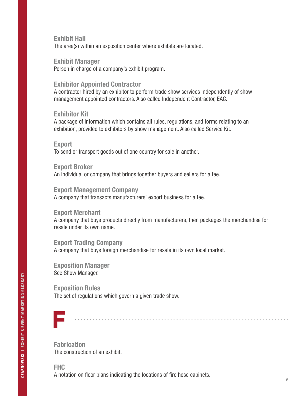# Exhibit Hall

The area(s) within an exposition center where exhibits are located.

Exhibit Manager

Person in charge of a company's exhibit program.

### Exhibitor Appointed Contractor

A contractor hired by an exhibitor to perform trade show services independently of show management appointed contractors. Also called Independent Contractor, EAC.

#### Exhibitor Kit

A package of information which contains all rules, regulations, and forms relating to an exhibition, provided to exhibitors by show management. Also called Service Kit.

#### Export To send or transport goods out of one country for sale in another.

Export Broker An individual or company that brings together buyers and sellers for a fee.

#### Export Management Company

A company that transacts manufacturers' export business for a fee.

# Export Merchant

A company that buys products directly from manufacturers, then packages the merchandise for resale under its own name.

# Export Trading Company A company that buys foreign merchandise for resale in its own local market.

Exposition Manager See Show Manager.

# Exposition Rules The set of regulations which govern a given trade show.



**Fabrication** The construction of an exhibit.

# FHC A notation on floor plans indicating the locations of fire hose cabinets.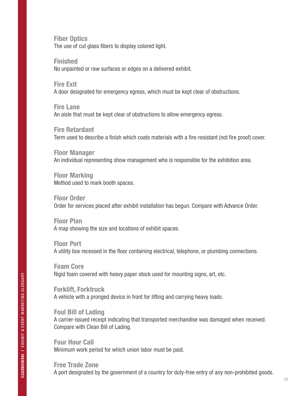Fiber Optics The use of cut glass fibers to display colored light.

Finished No unpainted or raw surfaces or edges on a delivered exhibit.

Fire Exit A door designated for emergency egress, which must be kept clear of obstructions.

Fire Lane An aisle that must be kept clear of obstructions to allow emergency egress.

Fire Retardant Term used to describe a finish which coats materials with a fire-resistant (not fire proof) cover.

Floor Manager An individual representing show management who is responsible for the exhibition area.

Floor Marking Method used to mark booth spaces.

Floor Order Order for services placed after exhibit installation has begun. Compare with Advance Order.

Floor Plan A map showing the size and locations of exhibit spaces.

Floor Port A utility box recessed in the floor containing electrical, telephone, or plumbing connections.

Foam Core Rigid foam covered with heavy paper stock used for mounting signs, art, etc.

Forklift, Forktruck A vehicle with a pronged device in front for lifting and carrying heavy loads.

Foul Bill of Lading A carrier-issued receipt indicating that transported merchandise was damaged when received. Compare with Clean Bill of Lading.

Four Hour Call Minimum work period for which union labor must be paid.

Free Trade Zone A port designated by the government of a country for duty-free entry of any non-prohibited goods.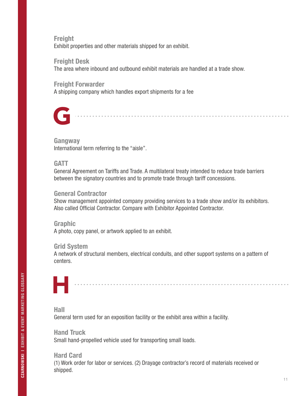**Freight** Exhibit properties and other materials shipped for an exhibit.

# Freight Desk

The area where inbound and outbound exhibit materials are handled at a trade show.

#### Freight Forwarder

A shipping company which handles export shipments for a fee



#### Gangway

International term referring to the "aisle".

# **GATT**

General Agreement on Tariffs and Trade. A multilateral treaty intended to reduce trade barriers between the signatory countries and to promote trade through tariff concessions.

# General Contractor

Show management appointed company providing services to a trade show and/or its exhibitors. Also called Official Contractor. Compare with Exhibitor Appointed Contractor.

#### Graphic

A photo, copy panel, or artwork applied to an exhibit.

# Grid System

A network of structural members, electrical conduits, and other support systems on a pattern of centers.

# H

Hall

General term used for an exposition facility or the exhibit area within a facility.

Hand Truck Small hand-propelled vehicle used for transporting small loads.

Hard Card (1) Work order for labor or services. (2) Drayage contractor's record of materials received or shipped.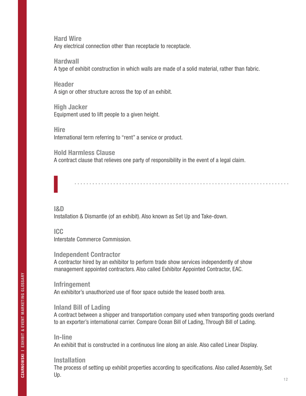Hard Wire Any electrical connection other than receptacle to receptacle.

**Hardwall** A type of exhibit construction in which walls are made of a solid material, rather than fabric.

**Header** A sign or other structure across the top of an exhibit.

High Jacker Equipment used to lift people to a given height.

**Hire** 

International term referring to "rent" a service or product.

Hold Harmless Clause

A contract clause that relieves one party of responsibility in the event of a legal claim.

I&D

I

Installation & Dismantle (of an exhibit). Also known as Set Up and Take-down.

ICC

Interstate Commerce Commission.

# Independent Contractor

A contractor hired by an exhibitor to perform trade show services independently of show management appointed contractors. Also called Exhibitor Appointed Contractor, EAC.

Infringement An exhibitor's unauthorized use of floor space outside the leased booth area.

# Inland Bill of Lading

A contract between a shipper and transportation company used when transporting goods overland to an exporter's international carrier. Compare Ocean Bill of Lading, Through Bill of Lading.

# In-line

An exhibit that is constructed in a continuous line along an aisle. Also called Linear Display.

# **Installation**

The process of setting up exhibit properties according to specifications. Also called Assembly, Set Up.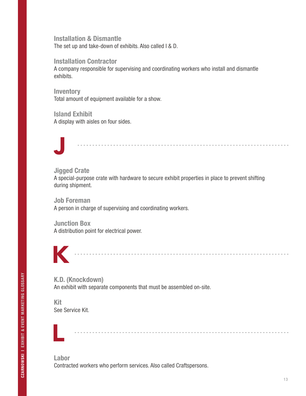Installation & Dismantle The set up and take-down of exhibits. Also called I & D.

Installation Contractor

A company responsible for supervising and coordinating workers who install and dismantle exhibits.

**Inventory** Total amount of equipment available for a show.

Island Exhibit A display with aisles on four sides.



# Jigged Crate

A special-purpose crate with hardware to secure exhibit properties in place to prevent shifting during shipment.

Job Foreman

A person in charge of supervising and coordinating workers.

Junction Box

A distribution point for electrical power.



K.D. (Knockdown) An exhibit with separate components that must be assembled on-site.

Kit See Service Kit.



Labor Contracted workers who perform services. Also called Craftspersons.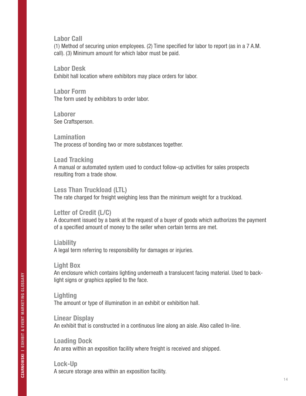Labor Call

(1) Method of securing union employees. (2) Time specified for labor to report (as in a 7 A.M. call). (3) Minimum amount for which labor must be paid.

Labor Desk

Exhibit hall location where exhibitors may place orders for labor.

Labor Form The form used by exhibitors to order labor.

Laborer See Craftsperson.

Lamination The process of bonding two or more substances together.

Lead Tracking A manual or automated system used to conduct follow-up activities for sales prospects resulting from a trade show.

Less Than Truckload (LTL) The rate charged for freight weighing less than the minimum weight for a truckload.

# Letter of Credit (L/C)

A document issued by a bank at the request of a buyer of goods which authorizes the payment of a specified amount of money to the seller when certain terms are met.

**Liability** 

A legal term referring to responsibility for damages or injuries.

#### Light Box

An enclosure which contains lighting underneath a translucent facing material. Used to backlight signs or graphics applied to the face.

#### **Lighting**

The amount or type of illumination in an exhibit or exhibition hall.

#### Linear Display

An exhibit that is constructed in a continuous line along an aisle. Also called In-line.

Loading Dock An area within an exposition facility where freight is received and shipped.

# Lock-Up A secure storage area within an exposition facility.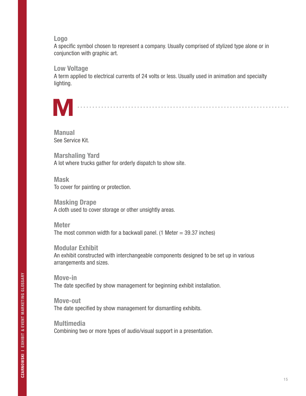#### Logo

A specific symbol chosen to represent a company. Usually comprised of stylized type alone or in conjunction with graphic art.

### Low Voltage

A term applied to electrical currents of 24 volts or less. Usually used in animation and specialty lighting.



Manual See Service Kit.

Marshaling Yard A lot where trucks gather for orderly dispatch to show site.

Mask To cover for painting or protection.

Masking Drape A cloth used to cover storage or other unsightly areas.

Meter The most common width for a backwall panel. (1 Meter  $=$  39.37 inches)

Modular Exhibit An exhibit constructed with interchangeable components designed to be set up in various arrangements and sizes.

Move-in The date specified by show management for beginning exhibit installation.

Move-out The date specified by show management for dismantling exhibits.

Multimedia Combining two or more types of audio/visual support in a presentation.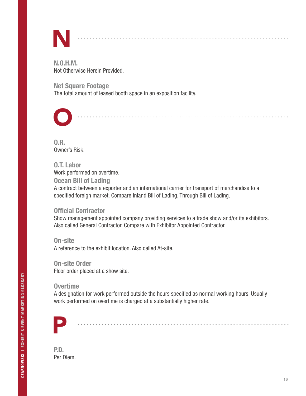

N.O.H.M. Not Otherwise Herein Provided.

Net Square Footage The total amount of leased booth space in an exposition facility.



 $0.R.$ Owner's Risk.

O.T. Labor Work performed on overtime. Ocean Bill of Lading A contract between a exporter and an international carrier for transport of merchandise to a specified foreign market. Compare Inland Bill of Lading, Through Bill of Lading.

# Official Contractor

Show management appointed company providing services to a trade show and/or its exhibitors. Also called General Contractor. Compare with Exhibitor Appointed Contractor.

On-site A reference to the exhibit location. Also called At-site.

On-site Order Floor order placed at a show site.

# **Overtime**

A designation for work performed outside the hours specified as normal working hours. Usually work performed on overtime is charged at a substantially higher rate.



P.D. Per Diem.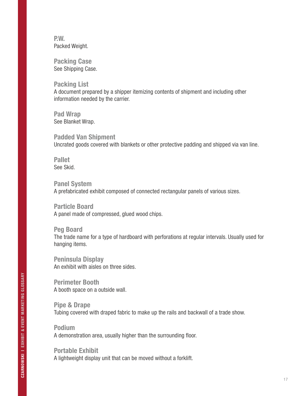P.W. Packed Weight.

Packing Case See Shipping Case.

Packing List A document prepared by a shipper itemizing contents of shipment and including other information needed by the carrier.

Pad Wrap See Blanket Wrap.

Padded Van Shipment Uncrated goods covered with blankets or other protective padding and shipped via van line.

Pallet See Skid.

Panel System A prefabricated exhibit composed of connected rectangular panels of various sizes.

Particle Board A panel made of compressed, glued wood chips.

Peg Board The trade name for a type of hardboard with perforations at regular intervals. Usually used for hanging items.

Peninsula Display An exhibit with aisles on three sides.

Perimeter Booth A booth space on a outside wall.

Pipe & Drape Tubing covered with draped fabric to make up the rails and backwall of a trade show.

Podium A demonstration area, usually higher than the surrounding floor.

Portable Exhibit A lightweight display unit that can be moved without a forklift.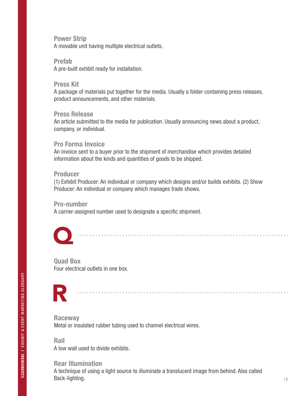### Power Strip

A movable unit having multiple electrical outlets.

#### Prefab

A pre-built exhibit ready for installation.

#### Press Kit

A package of materials put together for the media. Usually a folder containing press releases, product announcements, and other materials.

#### Press Release

An article submitted to the media for publication. Usually announcing news about a product, company, or individual.

### Pro Forma Invoice

An invoice sent to a buyer prior to the shipment of merchandise which provides detailed information about the kinds and quantities of goods to be shipped.

### Producer

(1) Exhibit Producer: An individual or company which designs and/or builds exhibits. (2) Show Producer: An individual or company which manages trade shows.

#### Pro-number

A carrier-assigned number used to designate a specific shipment.



Quad Box Four electrical outlets in one box.

# R

**Raceway** Metal or insulated rubber tubing used to channel electrical wires.

Rail A low wall used to divide exhibits.

# Rear Illumination A technique of using a light source to illuminate a translucent image from behind. Also called Back-lighting.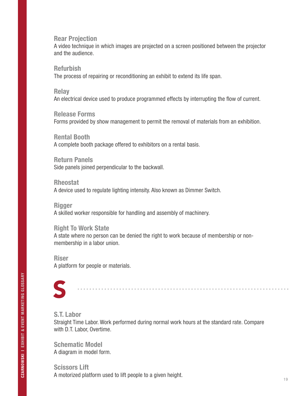#### Rear Projection

A video technique in which images are projected on a screen positioned between the projector and the audience.

#### Refurbish

The process of repairing or reconditioning an exhibit to extend its life span.

#### **Relay**

An electrical device used to produce programmed effects by interrupting the flow of current.

#### Release Forms

Forms provided by show management to permit the removal of materials from an exhibition.

#### Rental Booth

A complete booth package offered to exhibitors on a rental basis.

#### Return Panels

Side panels joined perpendicular to the backwall.

#### Rheostat

A device used to regulate lighting intensity. Also known as Dimmer Switch.

#### Rigger

A skilled worker responsible for handling and assembly of machinery.

#### Right To Work State

A state where no person can be denied the right to work because of membership or nonmembership in a labor union.

#### **Riser** A platform for people or materials.

# S

#### S.T. Labor

Straight Time Labor. Work performed during normal work hours at the standard rate. Compare with D.T. Labor, Overtime.

Schematic Model A diagram in model form.

Scissors Lift A motorized platform used to lift people to a given height.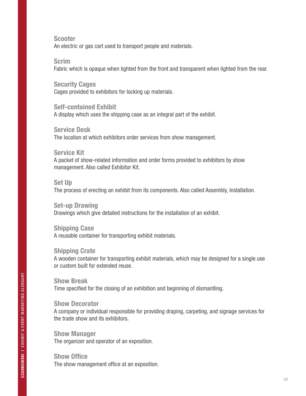Scooter

An electric or gas cart used to transport people and materials.

Scrim

Fabric which is opaque when lighted from the front and transparent when lighted from the rear.

Security Cages Cages provided to exhibitors for locking up materials.

Self-contained Exhibit A display which uses the shipping case as an integral part of the exhibit.

Service Desk The location at which exhibitors order services from show management.

Service Kit A packet of show-related information and order forms provided to exhibitors by show management. Also called Exhibitor Kit.

Set Up The process of erecting an exhibit from its components. Also called Assembly, Installation.

Set-up Drawing Drawings which give detailed instructions for the installation of an exhibit.

Shipping Case A reusable container for transporting exhibit materials.

Shipping Crate A wooden container for transporting exhibit materials, which may be designed for a single use or custom built for extended reuse.

Show Break Time specified for the closing of an exhibition and beginning of dismantling.

Show Decorator A company or individual responsible for providing draping, carpeting, and signage services for the trade show and its exhibitors.

Show Manager The organizer and operator of an exposition.

Show Office The show management office at an exposition.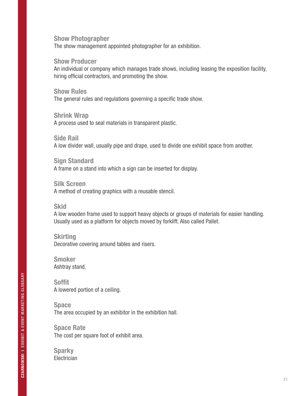#### Show Photographer

The show management appointed photographer for an exhibition.

#### Show Producer

An individual or company which manages trade shows, including leasing the exposition facility, hiring official contractors, and promoting the show.

#### Show Rules

The general rules and regulations governing a specific trade show.

#### Shrink Wrap

A process used to seal materials in transparent plastic.

#### Side Rail

A low divider wall, usually pipe and drape, used to divide one exhibit space from another.

#### Sign Standard

A frame on a stand into which a sign can be inserted for display.

#### Silk Screen

A method of creating graphics with a reusable stencil.

#### **Skid**

A low wooden frame used to support heavy objects or groups of materials for easier handling. Usually used as a platform for objects moved by forklift. Also called Pallet.

#### **Skirting**

Decorative covering around tables and risers.

#### Smoker Ashtray stand.

Soffit A lowered portion of a ceiling.

Space The area occupied by an exhibitor in the exhibition hall.

Space Rate The cost per square foot of exhibit area.

**Sparky Electrician**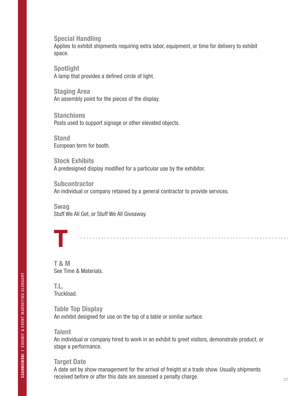Special Handling

Applies to exhibit shipments requiring extra labor, equipment, or time for delivery to exhibit space.

Spotlight A lamp that provides a defined circle of light.

Staging Area An assembly point for the pieces of the display.

**Stanchions** Posts used to support signage or other elevated objects.

**Stand** European term for booth.

Stock Exhibits A predesigned display modified for a particular use by the exhibitor.

**Subcontractor** An individual or company retained by a general contractor to provide services.

Swag Stuff We All Get, or Stuff We All Giveaway.

T

T & M See Time & Materials.

T.L. Truckload.

Table Top Display An exhibit designed for use on the top of a table or similar surface.

#### **Talent**

An individual or company hired to work in an exhibit to greet visitors, demonstrate product, or stage a performance.

#### Target Date

A date set by show management for the arrival of freight at a trade show. Usually shipments received before or after this date are assessed a penalty charge.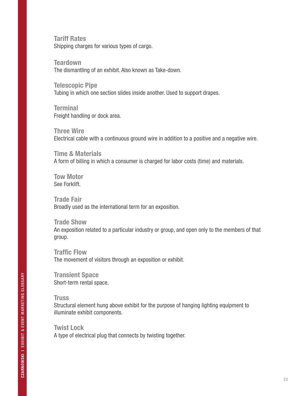Tariff Rates Shipping charges for various types of cargo.

**Teardown** The dismantling of an exhibit. Also known as Take-down.

Telescopic Pipe Tubing in which one section slides inside another. Used to support drapes.

**Terminal** Freight handling or dock area.

Three Wire Electrical cable with a continuous ground wire in addition to a positive and a negative wire.

Time & Materials A form of billing in which a consumer is charged for labor costs (time) and materials.

Tow Motor See Forklift.

Trade Fair Broadly used as the international term for an exposition.

Trade Show An exposition related to a particular industry or group, and open only to the members of that group.

Traffic Flow The movement of visitors through an exposition or exhibit.

Transient Space Short-term rental space.

**Truss** 

Structural element hung above exhibit for the purpose of hanging lighting equipment to illuminate exhibit components.

Twist Lock A type of electrical plug that connects by twisting together.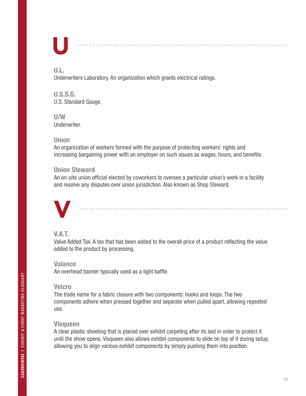# U

. . . . . . . . . . . . . .

# U.L.

Underwriters Laboratory. An organization which grants electrical ratings.

U.S.S.G. U.S. Standard Gauge.

#### U/W Underwriter.

# Union

An organization of workers formed with the purpose of protecting workers' rights and increasing bargaining power with an employer on such issues as wages, hours, and benefits.

# Union Steward

An on-site union official elected by coworkers to oversee a particular union's work in a facility and resolve any disputes over union jurisdiction. Also known as Shop Steward.

# V

# V.A.T.

Value Added Tax. A tax that has been added to the overall price of a product reflecting the value added to the product by processing.

# **Valance**

An overhead banner typically used as a light baffle.

# Velcro

The trade name for a fabric closure with two components: hooks and loops. The two components adhere when pressed together and separate when pulled apart, allowing repeated use.

# Visqueen

A clear plastic sheeting that is placed over exhibit carpeting after its laid in order to protect it until the show opens. Visqueen also allows exhibit components to slide on top of it during setup, allowing you to align various exhibit components by simply pushing them into position.